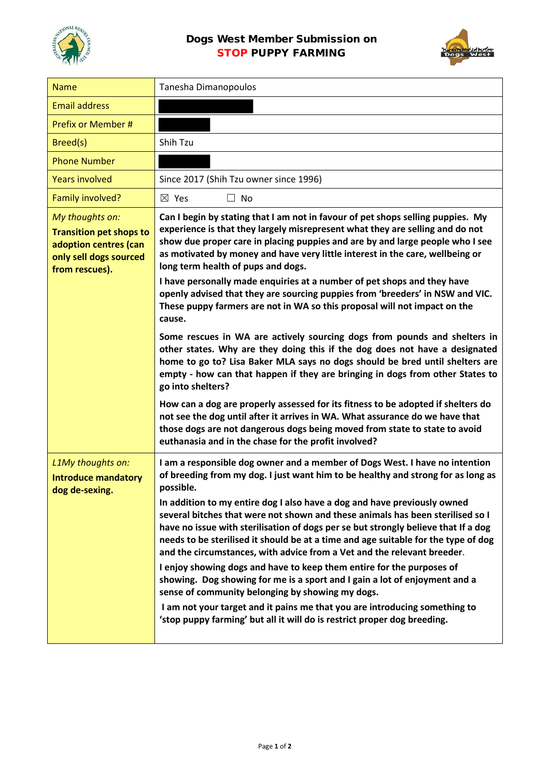



| <b>Name</b>                                                                                                            | Tanesha Dimanopoulos                                                                                                                                                                                                                                                                                                                                                                                                                                                                                                                                                                                                                                                                                                                                                                                                                                                                                                                                                   |
|------------------------------------------------------------------------------------------------------------------------|------------------------------------------------------------------------------------------------------------------------------------------------------------------------------------------------------------------------------------------------------------------------------------------------------------------------------------------------------------------------------------------------------------------------------------------------------------------------------------------------------------------------------------------------------------------------------------------------------------------------------------------------------------------------------------------------------------------------------------------------------------------------------------------------------------------------------------------------------------------------------------------------------------------------------------------------------------------------|
| <b>Email address</b>                                                                                                   |                                                                                                                                                                                                                                                                                                                                                                                                                                                                                                                                                                                                                                                                                                                                                                                                                                                                                                                                                                        |
| Prefix or Member #                                                                                                     |                                                                                                                                                                                                                                                                                                                                                                                                                                                                                                                                                                                                                                                                                                                                                                                                                                                                                                                                                                        |
| Breed(s)                                                                                                               | Shih Tzu                                                                                                                                                                                                                                                                                                                                                                                                                                                                                                                                                                                                                                                                                                                                                                                                                                                                                                                                                               |
| <b>Phone Number</b>                                                                                                    |                                                                                                                                                                                                                                                                                                                                                                                                                                                                                                                                                                                                                                                                                                                                                                                                                                                                                                                                                                        |
| <b>Years involved</b>                                                                                                  | Since 2017 (Shih Tzu owner since 1996)                                                                                                                                                                                                                                                                                                                                                                                                                                                                                                                                                                                                                                                                                                                                                                                                                                                                                                                                 |
| Family involved?                                                                                                       | $\boxtimes$ Yes<br>$\Box$ No                                                                                                                                                                                                                                                                                                                                                                                                                                                                                                                                                                                                                                                                                                                                                                                                                                                                                                                                           |
| My thoughts on:<br><b>Transition pet shops to</b><br>adoption centres (can<br>only sell dogs sourced<br>from rescues). | Can I begin by stating that I am not in favour of pet shops selling puppies. My<br>experience is that they largely misrepresent what they are selling and do not<br>show due proper care in placing puppies and are by and large people who I see<br>as motivated by money and have very little interest in the care, wellbeing or<br>long term health of pups and dogs.<br>I have personally made enquiries at a number of pet shops and they have<br>openly advised that they are sourcing puppies from 'breeders' in NSW and VIC.<br>These puppy farmers are not in WA so this proposal will not impact on the<br>cause.                                                                                                                                                                                                                                                                                                                                            |
|                                                                                                                        | Some rescues in WA are actively sourcing dogs from pounds and shelters in<br>other states. Why are they doing this if the dog does not have a designated<br>home to go to? Lisa Baker MLA says no dogs should be bred until shelters are<br>empty - how can that happen if they are bringing in dogs from other States to<br>go into shelters?<br>How can a dog are properly assessed for its fitness to be adopted if shelters do<br>not see the dog until after it arrives in WA. What assurance do we have that<br>those dogs are not dangerous dogs being moved from state to state to avoid<br>euthanasia and in the chase for the profit involved?                                                                                                                                                                                                                                                                                                               |
| L1My thoughts on:<br><b>Introduce mandatory</b><br>dog de-sexing.                                                      | I am a responsible dog owner and a member of Dogs West. I have no intention<br>of breeding from my dog. I just want him to be healthy and strong for as long as<br>possible.<br>In addition to my entire dog I also have a dog and have previously owned<br>several bitches that were not shown and these animals has been sterilised so I<br>have no issue with sterilisation of dogs per se but strongly believe that If a dog<br>needs to be sterilised it should be at a time and age suitable for the type of dog<br>and the circumstances, with advice from a Vet and the relevant breeder.<br>I enjoy showing dogs and have to keep them entire for the purposes of<br>showing. Dog showing for me is a sport and I gain a lot of enjoyment and a<br>sense of community belonging by showing my dogs.<br>I am not your target and it pains me that you are introducing something to<br>'stop puppy farming' but all it will do is restrict proper dog breeding. |